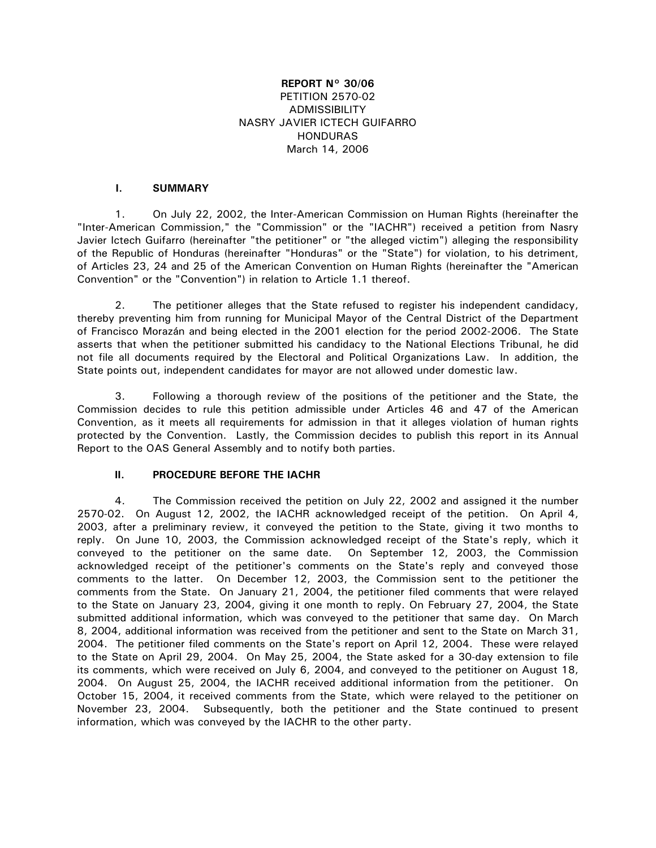# **REPORT N° 30/06**  PETITION 2570-02 ADMISSIBILITY NASRY JAVIER ICTECH GUIFARRO HONDURAS March 14, 2006

# **I. SUMMARY**

 1. On July 22, 2002, the Inter-American Commission on Human Rights (hereinafter the "Inter-American Commission," the "Commission" or the "IACHR") received a petition from Nasry Javier Ictech Guifarro (hereinafter "the petitioner" or "the alleged victim") alleging the responsibility of the Republic of Honduras (hereinafter "Honduras" or the "State") for violation, to his detriment, of Articles 23, 24 and 25 of the American Convention on Human Rights (hereinafter the "American Convention" or the "Convention") in relation to Article 1.1 thereof.

 2. The petitioner alleges that the State refused to register his independent candidacy, thereby preventing him from running for Municipal Mayor of the Central District of the Department of Francisco Morazán and being elected in the 2001 election for the period 2002-2006. The State asserts that when the petitioner submitted his candidacy to the National Elections Tribunal, he did not file all documents required by the Electoral and Political Organizations Law. In addition, the State points out, independent candidates for mayor are not allowed under domestic law.

 3. Following a thorough review of the positions of the petitioner and the State, the Commission decides to rule this petition admissible under Articles 46 and 47 of the American Convention, as it meets all requirements for admission in that it alleges violation of human rights protected by the Convention. Lastly, the Commission decides to publish this report in its Annual Report to the OAS General Assembly and to notify both parties.

# **II. PROCEDURE BEFORE THE IACHR**

 4. The Commission received the petition on July 22, 2002 and assigned it the number 2570-02. On August 12, 2002, the IACHR acknowledged receipt of the petition. On April 4, 2003, after a preliminary review, it conveyed the petition to the State, giving it two months to reply. On June 10, 2003, the Commission acknowledged receipt of the State's reply, which it conveyed to the petitioner on the same date. On September 12, 2003, the Commission acknowledged receipt of the petitioner's comments on the State's reply and conveyed those comments to the latter. On December 12, 2003, the Commission sent to the petitioner the comments from the State. On January 21, 2004, the petitioner filed comments that were relayed to the State on January 23, 2004, giving it one month to reply. On February 27, 2004, the State submitted additional information, which was conveyed to the petitioner that same day. On March 8, 2004, additional information was received from the petitioner and sent to the State on March 31, 2004. The petitioner filed comments on the State's report on April 12, 2004. These were relayed to the State on April 29, 2004. On May 25, 2004, the State asked for a 30-day extension to file its comments, which were received on July 6, 2004, and conveyed to the petitioner on August 18, 2004. On August 25, 2004, the IACHR received additional information from the petitioner. On October 15, 2004, it received comments from the State, which were relayed to the petitioner on November 23, 2004. Subsequently, both the petitioner and the State continued to present information, which was conveyed by the IACHR to the other party.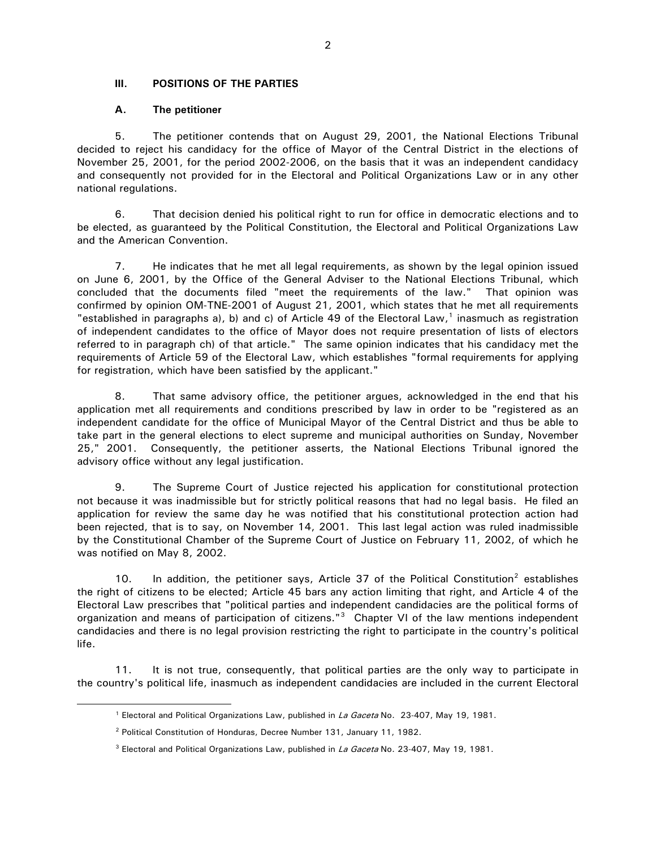### **III. POSITIONS OF THE PARTIES**

### **A. The petitioner**

 5. The petitioner contends that on August 29, 2001, the National Elections Tribunal decided to reject his candidacy for the office of Mayor of the Central District in the elections of November 25, 2001, for the period 2002-2006, on the basis that it was an independent candidacy and consequently not provided for in the Electoral and Political Organizations Law or in any other national regulations.

 6. That decision denied his political right to run for office in democratic elections and to be elected, as guaranteed by the Political Constitution, the Electoral and Political Organizations Law and the American Convention.

 7. He indicates that he met all legal requirements, as shown by the legal opinion issued on June 6, 2001, by the Office of the General Adviser to the National Elections Tribunal, which concluded that the documents filed "meet the requirements of the law." That opinion was confirmed by opinion OM-TNE-2001 of August 21, 2001, which states that he met all requirements "established in paragraphs a), b) and c) of Article 49 of the Electoral Law, $<sup>1</sup>$  $<sup>1</sup>$  $<sup>1</sup>$  inasmuch as registration</sup> of independent candidates to the office of Mayor does not require presentation of lists of electors referred to in paragraph ch) of that article." The same opinion indicates that his candidacy met the requirements of Article 59 of the Electoral Law, which establishes "formal requirements for applying for registration, which have been satisfied by the applicant."

 8. That same advisory office, the petitioner argues, acknowledged in the end that his application met all requirements and conditions prescribed by law in order to be "registered as an independent candidate for the office of Municipal Mayor of the Central District and thus be able to take part in the general elections to elect supreme and municipal authorities on Sunday, November 25," 2001. Consequently, the petitioner asserts, the National Elections Tribunal ignored the advisory office without any legal justification.

 9. The Supreme Court of Justice rejected his application for constitutional protection not because it was inadmissible but for strictly political reasons that had no legal basis. He filed an application for review the same day he was notified that his constitutional protection action had been rejected, that is to say, on November 14, 2001. This last legal action was ruled inadmissible by the Constitutional Chamber of the Supreme Court of Justice on February 11, 2002, of which he was notified on May 8, 2002.

10. In addition, the petitioner says, Article 37 of the Political Constitution<sup>[2](#page-1-1)</sup> establishes the right of citizens to be elected; Article 45 bars any action limiting that right, and Article 4 of the Electoral Law prescribes that "political parties and independent candidacies are the political forms of organization and means of participation of citizens."<sup>[3](#page-1-2)</sup> Chapter VI of the law mentions independent candidacies and there is no legal provision restricting the right to participate in the country's political life.

 11. It is not true, consequently, that political parties are the only way to participate in the country's political life, inasmuch as independent candidacies are included in the current Electoral

<span id="page-1-2"></span><span id="page-1-1"></span><span id="page-1-0"></span> $\overline{a}$ 

<sup>&</sup>lt;sup>1</sup> Electoral and Political Organizations Law, published in La Gaceta No. 23-407, May 19, 1981.

<sup>2</sup> Political Constitution of Honduras, Decree Number 131, January 11, 1982.

 $3$  Electoral and Political Organizations Law, published in La Gaceta No. 23-407, May 19, 1981.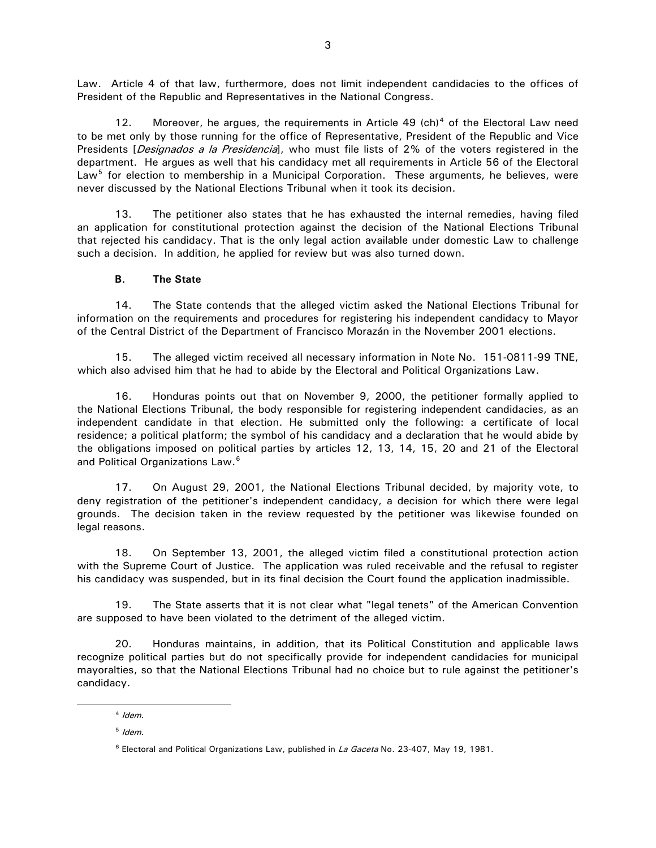Law. Article 4 of that law, furthermore, does not limit independent candidacies to the offices of President of the Republic and Representatives in the National Congress.

12. Moreover, he argues, the requirements in Article [4](#page-2-0)9  $(ch)^4$  of the Electoral Law need to be met only by those running for the office of Representative, President of the Republic and Vice Presidents [*Designados a la Presidencia*], who must file lists of 2% of the voters registered in the department. He argues as well that his candidacy met all requirements in Article 56 of the Electoral Law<sup>[5](#page-2-1)</sup> for election to membership in a Municipal Corporation. These arguments, he believes, were never discussed by the National Elections Tribunal when it took its decision.

 13. The petitioner also states that he has exhausted the internal remedies, having filed an application for constitutional protection against the decision of the National Elections Tribunal that rejected his candidacy. That is the only legal action available under domestic Law to challenge such a decision. In addition, he applied for review but was also turned down.

#### **B. The State**

 14. The State contends that the alleged victim asked the National Elections Tribunal for information on the requirements and procedures for registering his independent candidacy to Mayor of the Central District of the Department of Francisco Morazán in the November 2001 elections.

 15. The alleged victim received all necessary information in Note No. 151-0811-99 TNE, which also advised him that he had to abide by the Electoral and Political Organizations Law.

 16. Honduras points out that on November 9, 2000, the petitioner formally applied to the National Elections Tribunal, the body responsible for registering independent candidacies, as an independent candidate in that election. He submitted only the following: a certificate of local residence; a political platform; the symbol of his candidacy and a declaration that he would abide by the obligations imposed on political parties by articles 12, 13, 14, 15, 20 and 21 of the Electoral and Political Organizations Law.<sup>[6](#page-2-2)</sup>

 17. On August 29, 2001, the National Elections Tribunal decided, by majority vote, to deny registration of the petitioner's independent candidacy, a decision for which there were legal grounds. The decision taken in the review requested by the petitioner was likewise founded on legal reasons.

 18. On September 13, 2001, the alleged victim filed a constitutional protection action with the Supreme Court of Justice. The application was ruled receivable and the refusal to register his candidacy was suspended, but in its final decision the Court found the application inadmissible.

 19. The State asserts that it is not clear what "legal tenets" of the American Convention are supposed to have been violated to the detriment of the alleged victim.

 20. Honduras maintains, in addition, that its Political Constitution and applicable laws recognize political parties but do not specifically provide for independent candidacies for municipal mayoralties, so that the National Elections Tribunal had no choice but to rule against the petitioner's candidacy.

<span id="page-2-2"></span><span id="page-2-1"></span><span id="page-2-0"></span> $\overline{a}$ 

 $4$  Idem.

 $5$  Idem.

 $6$  Electoral and Political Organizations Law, published in La Gaceta No. 23-407, May 19, 1981.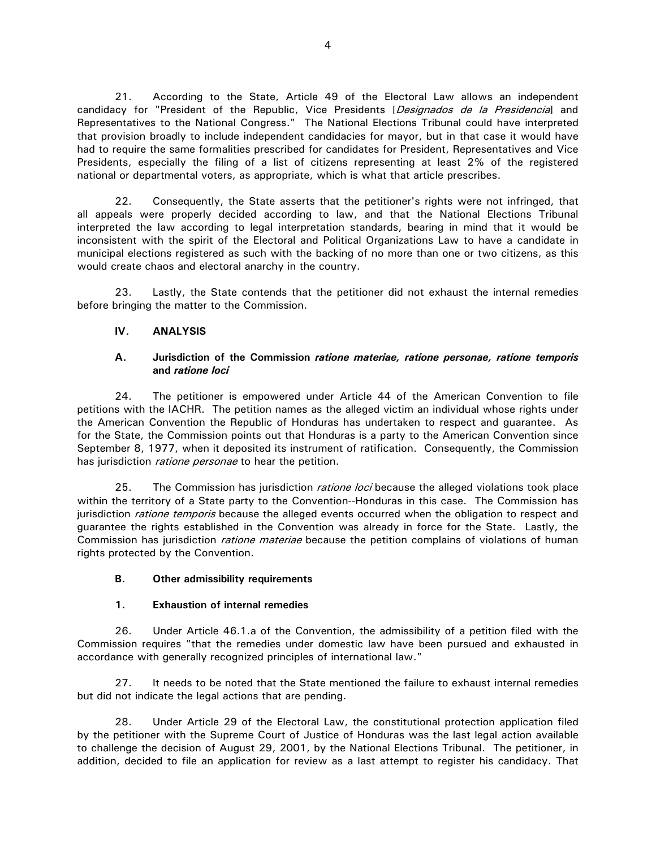21. According to the State, Article 49 of the Electoral Law allows an independent candidacy for "President of the Republic, Vice Presidents [Designados de la Presidencia] and Representatives to the National Congress." The National Elections Tribunal could have interpreted that provision broadly to include independent candidacies for mayor, but in that case it would have had to require the same formalities prescribed for candidates for President, Representatives and Vice Presidents, especially the filing of a list of citizens representing at least 2% of the registered national or departmental voters, as appropriate, which is what that article prescribes.

 22. Consequently, the State asserts that the petitioner's rights were not infringed, that all appeals were properly decided according to law, and that the National Elections Tribunal interpreted the law according to legal interpretation standards, bearing in mind that it would be inconsistent with the spirit of the Electoral and Political Organizations Law to have a candidate in municipal elections registered as such with the backing of no more than one or two citizens, as this would create chaos and electoral anarchy in the country.

 23. Lastly, the State contends that the petitioner did not exhaust the internal remedies before bringing the matter to the Commission.

# **IV. ANALYSIS**

#### **A. Jurisdiction of the Commission** *ratione materiae, ratione personae, ratione temporis*  **and** *ratione loci*

 24. The petitioner is empowered under Article 44 of the American Convention to file petitions with the IACHR. The petition names as the alleged victim an individual whose rights under the American Convention the Republic of Honduras has undertaken to respect and guarantee. As for the State, the Commission points out that Honduras is a party to the American Convention since September 8, 1977, when it deposited its instrument of ratification. Consequently, the Commission has jurisdiction *ratione personae* to hear the petition.

25. The Commission has jurisdiction *ratione loci* because the alleged violations took place within the territory of a State party to the Convention--Honduras in this case. The Commission has jurisdiction *ratione temporis* because the alleged events occurred when the obligation to respect and guarantee the rights established in the Convention was already in force for the State. Lastly, the Commission has jurisdiction *ratione materiae* because the petition complains of violations of human rights protected by the Convention.

#### **B. Other admissibility requirements**

#### **1. Exhaustion of internal remedies**

 26. Under Article 46.1.a of the Convention, the admissibility of a petition filed with the Commission requires "that the remedies under domestic law have been pursued and exhausted in accordance with generally recognized principles of international law."

 27. It needs to be noted that the State mentioned the failure to exhaust internal remedies but did not indicate the legal actions that are pending.

 28. Under Article 29 of the Electoral Law, the constitutional protection application filed by the petitioner with the Supreme Court of Justice of Honduras was the last legal action available to challenge the decision of August 29, 2001, by the National Elections Tribunal. The petitioner, in addition, decided to file an application for review as a last attempt to register his candidacy. That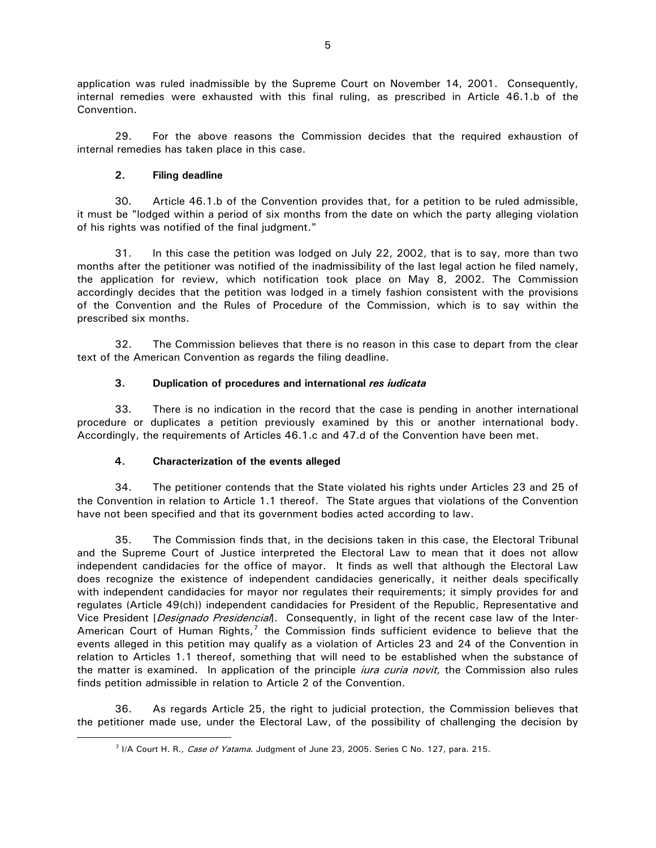application was ruled inadmissible by the Supreme Court on November 14, 2001. Consequently, internal remedies were exhausted with this final ruling, as prescribed in Article 46.1.b of the Convention.

 29. For the above reasons the Commission decides that the required exhaustion of internal remedies has taken place in this case.

# **2. Filing deadline**

<span id="page-4-0"></span> $\overline{a}$ 

 30. Article 46.1.b of the Convention provides that, for a petition to be ruled admissible, it must be "lodged within a period of six months from the date on which the party alleging violation of his rights was notified of the final judgment."

 31. In this case the petition was lodged on July 22, 2002, that is to say, more than two months after the petitioner was notified of the inadmissibility of the last legal action he filed namely, the application for review, which notification took place on May 8, 2002. The Commission accordingly decides that the petition was lodged in a timely fashion consistent with the provisions of the Convention and the Rules of Procedure of the Commission, which is to say within the prescribed six months.

 32. The Commission believes that there is no reason in this case to depart from the clear text of the American Convention as regards the filing deadline.

# **3. Duplication of procedures and international** *res iudicata*

 33. There is no indication in the record that the case is pending in another international procedure or duplicates a petition previously examined by this or another international body. Accordingly, the requirements of Articles 46.1.c and 47.d of the Convention have been met.

#### **4. Characterization of the events alleged**

 34. The petitioner contends that the State violated his rights under Articles 23 and 25 of the Convention in relation to Article 1.1 thereof. The State argues that violations of the Convention have not been specified and that its government bodies acted according to law.

 35. The Commission finds that, in the decisions taken in this case, the Electoral Tribunal and the Supreme Court of Justice interpreted the Electoral Law to mean that it does not allow independent candidacies for the office of mayor. It finds as well that although the Electoral Law does recognize the existence of independent candidacies generically, it neither deals specifically with independent candidacies for mayor nor regulates their requirements; it simply provides for and regulates (Article 49(ch)) independent candidacies for President of the Republic, Representative and Vice President [Designado Presidencial]. Consequently, in light of the recent case law of the Inter-American Court of Human Rights, $7$  the Commission finds sufficient evidence to believe that the events alleged in this petition may qualify as a violation of Articles 23 and 24 of the Convention in relation to Articles 1.1 thereof, something that will need to be established when the substance of the matter is examined. In application of the principle *iura curia novit*, the Commission also rules finds petition admissible in relation to Article 2 of the Convention.

 36. As regards Article 25, the right to judicial protection, the Commission believes that the petitioner made use, under the Electoral Law, of the possibility of challenging the decision by

<sup>&</sup>lt;sup>7</sup> I/A Court H. R., Case of Yatama. Judgment of June 23, 2005. Series C No. 127, para. 215.